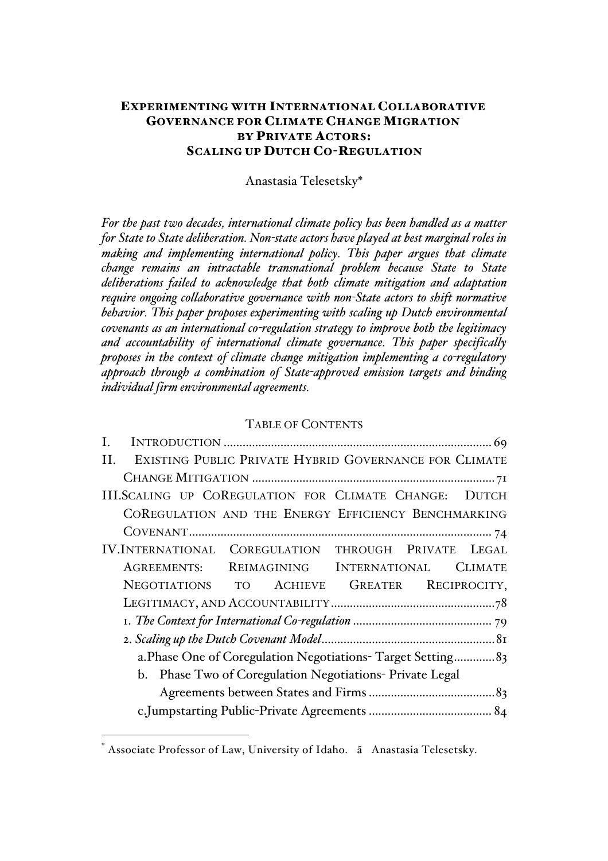## EXPERIMENTING WITH INTERNATIONAL COLLABORATIVE GOVERNANCE FOR CLIMATE CHANGE MIGRATION BY PRIVATE ACTORS: SCALING UP DUTCH CO-REGULATION

Anastasia Telesetsky\*

*For the past two decades, international climate policy has been handled as a matter for State to State deliberation. Non-state actors have played at best marginal roles in making and implementing international policy. This paper argues that climate change remains an intractable transnational problem because State to State deliberations failed to acknowledge that both climate mitigation and adaptation require ongoing collaborative governance with non-State actors to shift normative behavior. This paper proposes experimenting with scaling up Dutch environmental covenants as an international co-regulation strategy to improve both the legitimacy and accountability of international climate governance. This paper specifically proposes in the context of climate change mitigation implementing a co-regulatory approach through a combination of State-approved emission targets and binding individual firm environmental agreements.*

#### TABLE OF CONTENTS

| EXISTING PUBLIC PRIVATE HYBRID GOVERNANCE FOR CLIMATE<br>Н. |  |
|-------------------------------------------------------------|--|
|                                                             |  |
| III.SCALING UP COREGULATION FOR CLIMATE CHANGE: DUTCH       |  |
| COREGULATION AND THE ENERGY EFFICIENCY BENCHMARKING         |  |
|                                                             |  |
| IV.INTERNATIONAL COREGULATION THROUGH PRIVATE LEGAL         |  |
| AGREEMENTS: REIMAGINING INTERNATIONAL<br><b>CLIMATE</b>     |  |
| NEGOTIATIONS TO ACHIEVE GREATER RECIPROCITY,                |  |
|                                                             |  |
|                                                             |  |
|                                                             |  |
| a. Phase One of Coregulation Negotiations-Target Setting 83 |  |
| b. Phase Two of Coregulation Negotiations- Private Legal    |  |
|                                                             |  |
|                                                             |  |

 $\overline{a}$ 

<sup>\*</sup> Associate Professor of Law, University of Idaho. ã Anastasia Telesetsky.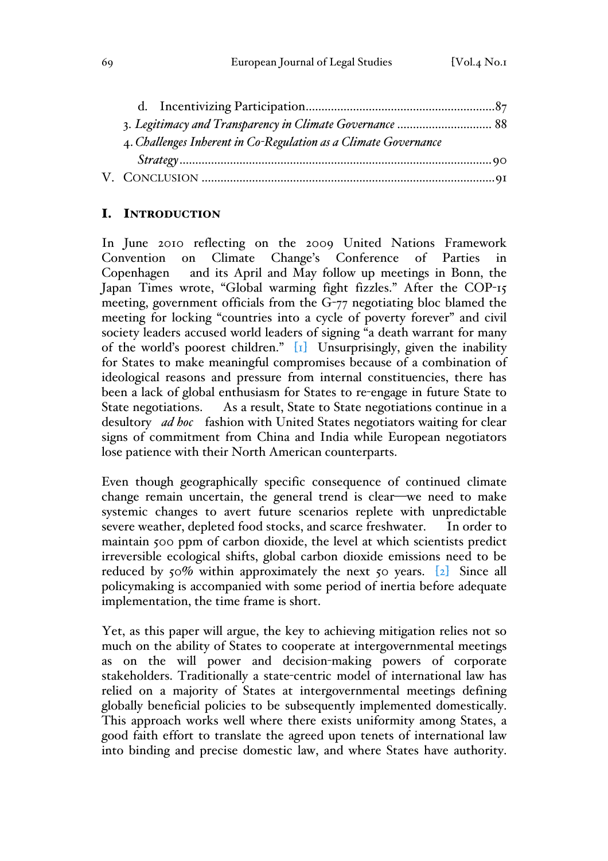| 4. Challenges Inherent in Co-Regulation as a Climate Governance |  |
|-----------------------------------------------------------------|--|
|                                                                 |  |
|                                                                 |  |

## I. INTRODUCTION

In June 2010 reflecting on the 2009 United Nations Framework Convention on Climate Change's Conference of Parties in Copenhagen and its April and May follow up meetings in Bonn, the Japan Times wrote, "Global warming fight fizzles." After the COP-15 meeting, government officials from the G-77 negotiating bloc blamed the meeting for locking "countries into a cycle of poverty forever" and civil society leaders accused world leaders of signing "a death warrant for many of the world's poorest children." [1] Unsurprisingly, given the inability for States to make meaningful compromises because of a combination of ideological reasons and pressure from internal constituencies, there has been a lack of global enthusiasm for States to re-engage in future State to State negotiations. As a result, State to State negotiations continue in a desultory *ad hoc* fashion with United States negotiators waiting for clear signs of commitment from China and India while European negotiators lose patience with their North American counterparts.

Even though geographically specific consequence of continued climate change remain uncertain, the general trend is clear—we need to make systemic changes to avert future scenarios replete with unpredictable severe weather, depleted food stocks, and scarce freshwater. In order to maintain 500 ppm of carbon dioxide, the level at which scientists predict irreversible ecological shifts, global carbon dioxide emissions need to be reduced by  $50\%$  within approximately the next  $50$  years. [2] Since all policymaking is accompanied with some period of inertia before adequate implementation, the time frame is short.

Yet, as this paper will argue, the key to achieving mitigation relies not so much on the ability of States to cooperate at intergovernmental meetings as on the will power and decision-making powers of corporate stakeholders. Traditionally a state-centric model of international law has relied on a majority of States at intergovernmental meetings defining globally beneficial policies to be subsequently implemented domestically. This approach works well where there exists uniformity among States, a good faith effort to translate the agreed upon tenets of international law into binding and precise domestic law, and where States have authority.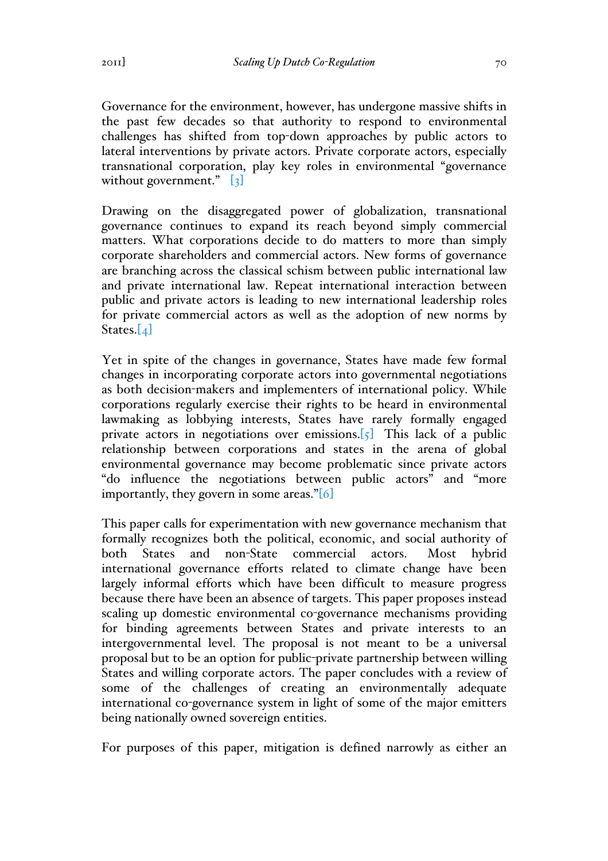Governance for the environment, however, has undergone massive shifts in the past few decades so that authority to respond to environmental challenges has shifted from top-down approaches by public actors to lateral interventions by private actors. Private corporate actors, especially transnational corporation, play key roles in environmental "governance without government."  $\begin{bmatrix} 3 \end{bmatrix}$ 

Drawing on the disaggregated power of globalization, transnational governance continues to expand its reach beyond simply commercial matters. What corporations decide to do matters to more than simply corporate shareholders and commercial actors. New forms of governance are branching across the classical schism between public international law and private international law. Repeat international interaction between public and private actors is leading to new international leadership roles for private commercial actors as well as the adoption of new norms by States. $[4]$ 

Yet in spite of the changes in governance, States have made few formal changes in incorporating corporate actors into governmental negotiations as both decision-makers and implementers of international policy. While corporations regularly exercise their rights to be heard in environmental lawmaking as lobbying interests, States have rarely formally engaged private actors in negotiations over emissions.  $\lbrack \{5\} \rbrack$  This lack of a public relationship between corporations and states in the arena of global environmental governance may become problematic since private actors "do influence the negotiations between public actors" and "more importantly, they govern in some areas."[6]

This paper calls for experimentation with new governance mechanism that formally recognizes both the political, economic, and social authority of both States and non-State commercial actors. Most hybrid international governance efforts related to climate change have been largely informal efforts which have been difficult to measure progress because there have been an absence of targets. This paper proposes instead scaling up domestic environmental co-governance mechanisms providing for binding agreements between States and private interests to an intergovernmental level. The proposal is not meant to be a universal proposal but to be an option for public-private partnership between willing States and willing corporate actors. The paper concludes with a review of some of the challenges of creating an environmentally adequate international co-governance system in light of some of the major emitters being nationally owned sovereign entities.

For purposes of this paper, mitigation is defined narrowly as either an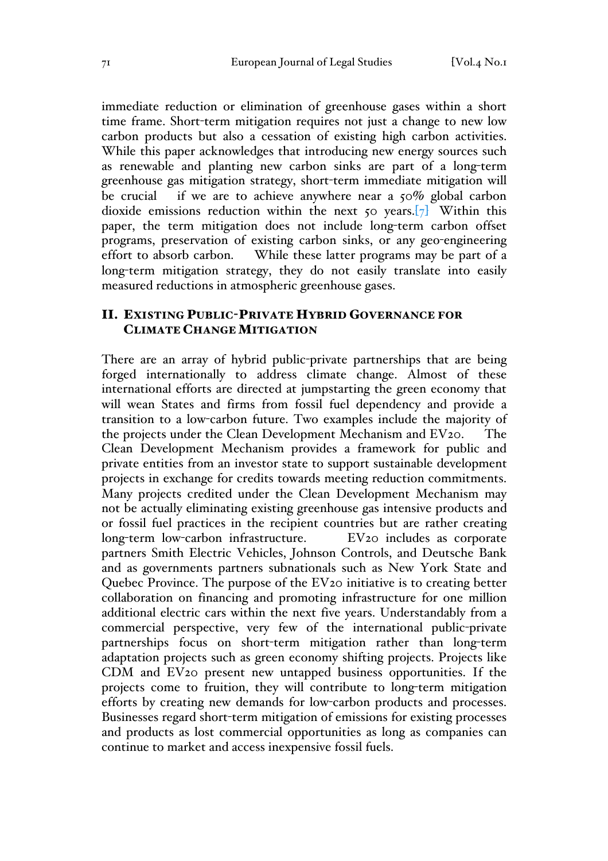immediate reduction or elimination of greenhouse gases within a short time frame. Short-term mitigation requires not just a change to new low carbon products but also a cessation of existing high carbon activities. While this paper acknowledges that introducing new energy sources such as renewable and planting new carbon sinks are part of a long-term greenhouse gas mitigation strategy, short-term immediate mitigation will be crucial if we are to achieve anywhere near a 50% global carbon dioxide emissions reduction within the next  $\zeta$  o years.  $\boxed{7}$  Within this paper, the term mitigation does not include long-term carbon offset programs, preservation of existing carbon sinks, or any geo-engineering effort to absorb carbon. While these latter programs may be part of a long-term mitigation strategy, they do not easily translate into easily measured reductions in atmospheric greenhouse gases.

## II. EXISTING PUBLIC-PRIVATE HYBRID GOVERNANCE FOR CLIMATE CHANGE MITIGATION

There are an array of hybrid public-private partnerships that are being forged internationally to address climate change. Almost of these international efforts are directed at jumpstarting the green economy that will wean States and firms from fossil fuel dependency and provide a transition to a low-carbon future. Two examples include the majority of the projects under the Clean Development Mechanism and EV20. The Clean Development Mechanism provides a framework for public and private entities from an investor state to support sustainable development projects in exchange for credits towards meeting reduction commitments. Many projects credited under the Clean Development Mechanism may not be actually eliminating existing greenhouse gas intensive products and or fossil fuel practices in the recipient countries but are rather creating long-term low-carbon infrastructure. EV20 includes as corporate partners Smith Electric Vehicles, Johnson Controls, and Deutsche Bank and as governments partners subnationals such as New York State and Quebec Province. The purpose of the EV20 initiative is to creating better collaboration on financing and promoting infrastructure for one million additional electric cars within the next five years. Understandably from a commercial perspective, very few of the international public-private partnerships focus on short-term mitigation rather than long-term adaptation projects such as green economy shifting projects. Projects like CDM and EV20 present new untapped business opportunities. If the projects come to fruition, they will contribute to long-term mitigation efforts by creating new demands for low-carbon products and processes. Businesses regard short-term mitigation of emissions for existing processes and products as lost commercial opportunities as long as companies can continue to market and access inexpensive fossil fuels.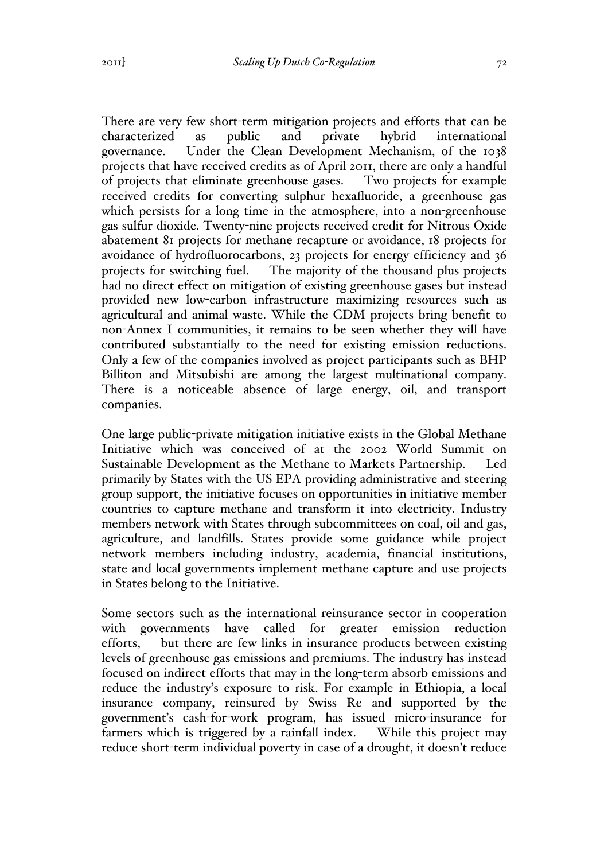There are very few short-term mitigation projects and efforts that can be characterized as public and private hybrid international governance. Under the Clean Development Mechanism, of the 1038 projects that have received credits as of April 2011, there are only a handful of projects that eliminate greenhouse gases. Two projects for example received credits for converting sulphur hexafluoride, a greenhouse gas which persists for a long time in the atmosphere, into a non-greenhouse gas sulfur dioxide. Twenty-nine projects received credit for Nitrous Oxide abatement 81 projects for methane recapture or avoidance, 18 projects for avoidance of hydrofluorocarbons, 23 projects for energy efficiency and 36 projects for switching fuel. The majority of the thousand plus projects had no direct effect on mitigation of existing greenhouse gases but instead provided new low-carbon infrastructure maximizing resources such as agricultural and animal waste. While the CDM projects bring benefit to non-Annex I communities, it remains to be seen whether they will have contributed substantially to the need for existing emission reductions. Only a few of the companies involved as project participants such as BHP Billiton and Mitsubishi are among the largest multinational company. There is a noticeable absence of large energy, oil, and transport companies.

One large public-private mitigation initiative exists in the Global Methane Initiative which was conceived of at the 2002 World Summit on Sustainable Development as the Methane to Markets Partnership. Led primarily by States with the US EPA providing administrative and steering group support, the initiative focuses on opportunities in initiative member countries to capture methane and transform it into electricity. Industry members network with States through subcommittees on coal, oil and gas, agriculture, and landfills. States provide some guidance while project network members including industry, academia, financial institutions, state and local governments implement methane capture and use projects in States belong to the Initiative.

Some sectors such as the international reinsurance sector in cooperation with governments have called for greater emission reduction efforts, but there are few links in insurance products between existing levels of greenhouse gas emissions and premiums. The industry has instead focused on indirect efforts that may in the long-term absorb emissions and reduce the industry's exposure to risk. For example in Ethiopia, a local insurance company, reinsured by Swiss Re and supported by the government's cash-for-work program, has issued micro-insurance for farmers which is triggered by a rainfall index. While this project may reduce short-term individual poverty in case of a drought, it doesn't reduce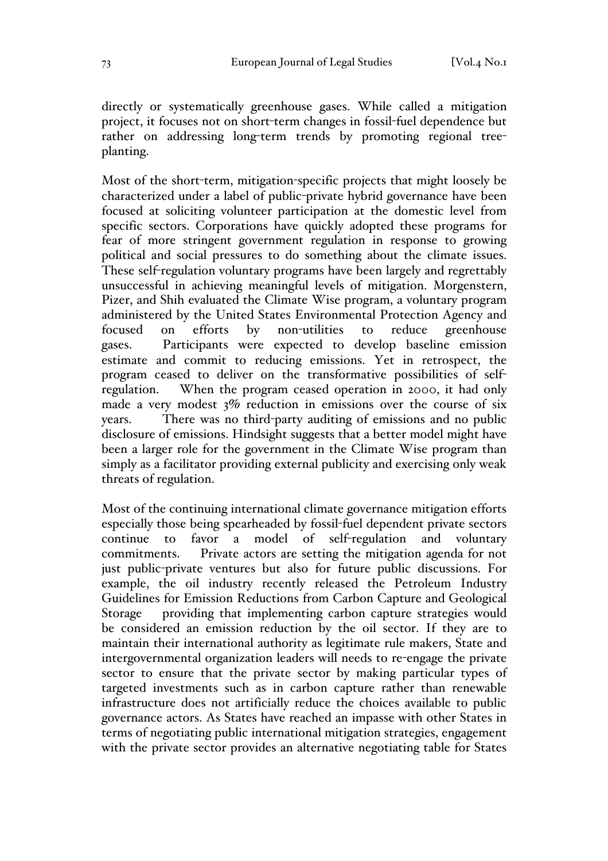directly or systematically greenhouse gases. While called a mitigation project, it focuses not on short-term changes in fossil-fuel dependence but rather on addressing long-term trends by promoting regional treeplanting.

Most of the short-term, mitigation-specific projects that might loosely be characterized under a label of public-private hybrid governance have been focused at soliciting volunteer participation at the domestic level from specific sectors. Corporations have quickly adopted these programs for fear of more stringent government regulation in response to growing political and social pressures to do something about the climate issues. These self-regulation voluntary programs have been largely and regrettably unsuccessful in achieving meaningful levels of mitigation. Morgenstern, Pizer, and Shih evaluated the Climate Wise program, a voluntary program administered by the United States Environmental Protection Agency and focused on efforts by non-utilities to reduce greenhouse gases. Participants were expected to develop baseline emission estimate and commit to reducing emissions. Yet in retrospect, the program ceased to deliver on the transformative possibilities of selfregulation. When the program ceased operation in 2000, it had only made a very modest  $3\%$  reduction in emissions over the course of six years. There was no third-party auditing of emissions and no public disclosure of emissions. Hindsight suggests that a better model might have been a larger role for the government in the Climate Wise program than simply as a facilitator providing external publicity and exercising only weak threats of regulation.

Most of the continuing international climate governance mitigation efforts especially those being spearheaded by fossil-fuel dependent private sectors continue to favor a model of self-regulation and voluntary commitments. Private actors are setting the mitigation agenda for not just public-private ventures but also for future public discussions. For example, the oil industry recently released the Petroleum Industry Guidelines for Emission Reductions from Carbon Capture and Geological Storage providing that implementing carbon capture strategies would be considered an emission reduction by the oil sector. If they are to maintain their international authority as legitimate rule makers, State and intergovernmental organization leaders will needs to re-engage the private sector to ensure that the private sector by making particular types of targeted investments such as in carbon capture rather than renewable infrastructure does not artificially reduce the choices available to public governance actors. As States have reached an impasse with other States in terms of negotiating public international mitigation strategies, engagement with the private sector provides an alternative negotiating table for States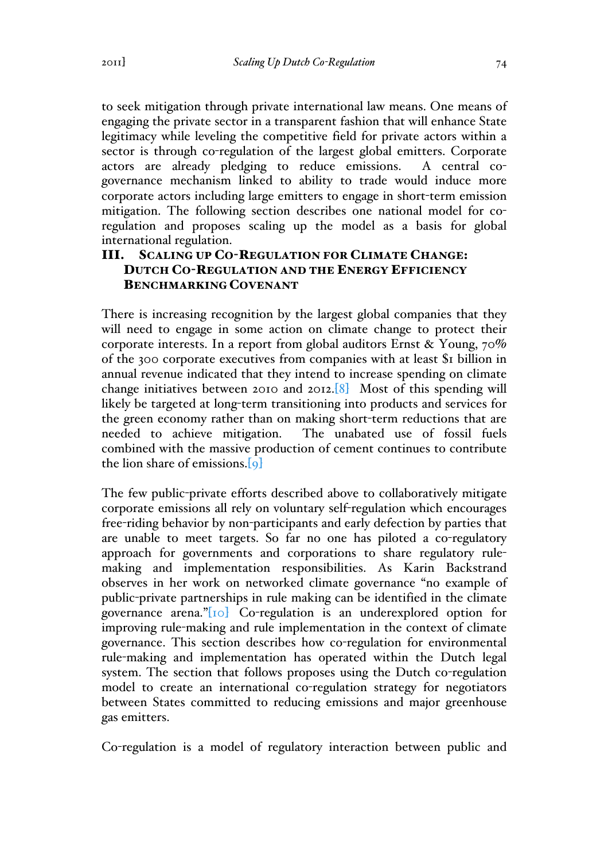to seek mitigation through private international law means. One means of engaging the private sector in a transparent fashion that will enhance State legitimacy while leveling the competitive field for private actors within a sector is through co-regulation of the largest global emitters. Corporate actors are already pledging to reduce emissions. A central cogovernance mechanism linked to ability to trade would induce more corporate actors including large emitters to engage in short-term emission mitigation. The following section describes one national model for coregulation and proposes scaling up the model as a basis for global international regulation.

## III. SCALING UP CO-REGULATION FOR CLIMATE CHANGE: DUTCH CO-REGULATION AND THE ENERGY EFFICIENCY BENCHMARKING COVENANT

There is increasing recognition by the largest global companies that they will need to engage in some action on climate change to protect their corporate interests. In a report from global auditors Ernst & Young, 70% of the 300 corporate executives from companies with at least \$1 billion in annual revenue indicated that they intend to increase spending on climate change initiatives between 2010 and 2012.[8] Most of this spending will likely be targeted at long-term transitioning into products and services for the green economy rather than on making short-term reductions that are needed to achieve mitigation. The unabated use of fossil fuels combined with the massive production of cement continues to contribute the lion share of emissions.[9]

The few public-private efforts described above to collaboratively mitigate corporate emissions all rely on voluntary self-regulation which encourages free-riding behavior by non-participants and early defection by parties that are unable to meet targets. So far no one has piloted a co-regulatory approach for governments and corporations to share regulatory rulemaking and implementation responsibilities. As Karin Backstrand observes in her work on networked climate governance "no example of public-private partnerships in rule making can be identified in the climate governance arena."[10] Co-regulation is an underexplored option for improving rule-making and rule implementation in the context of climate governance. This section describes how co-regulation for environmental rule-making and implementation has operated within the Dutch legal system. The section that follows proposes using the Dutch co-regulation model to create an international co-regulation strategy for negotiators between States committed to reducing emissions and major greenhouse gas emitters.

Co-regulation is a model of regulatory interaction between public and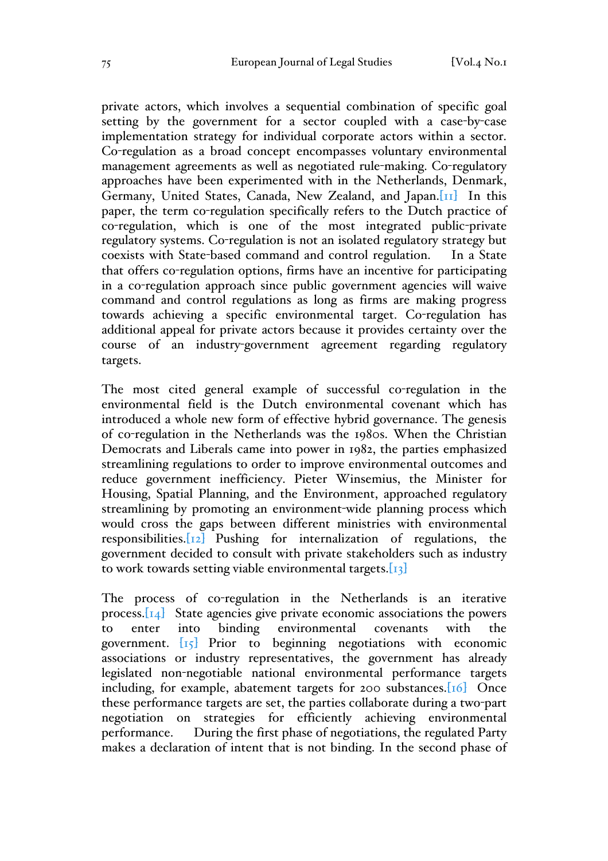private actors, which involves a sequential combination of specific goal setting by the government for a sector coupled with a case-by-case implementation strategy for individual corporate actors within a sector. Co-regulation as a broad concept encompasses voluntary environmental management agreements as well as negotiated rule-making. Co-regulatory approaches have been experimented with in the Netherlands, Denmark, Germany, United States, Canada, New Zealand, and Japan.[11] In this paper, the term co-regulation specifically refers to the Dutch practice of co-regulation, which is one of the most integrated public-private regulatory systems. Co-regulation is not an isolated regulatory strategy but coexists with State-based command and control regulation. In a State that offers co-regulation options, firms have an incentive for participating in a co-regulation approach since public government agencies will waive command and control regulations as long as firms are making progress towards achieving a specific environmental target. Co-regulation has additional appeal for private actors because it provides certainty over the course of an industry-government agreement regarding regulatory targets.

The most cited general example of successful co-regulation in the environmental field is the Dutch environmental covenant which has introduced a whole new form of effective hybrid governance. The genesis of co-regulation in the Netherlands was the 1980s. When the Christian Democrats and Liberals came into power in 1982, the parties emphasized streamlining regulations to order to improve environmental outcomes and reduce government inefficiency. Pieter Winsemius, the Minister for Housing, Spatial Planning, and the Environment, approached regulatory streamlining by promoting an environment-wide planning process which would cross the gaps between different ministries with environmental responsibilities.[12] Pushing for internalization of regulations, the government decided to consult with private stakeholders such as industry to work towards setting viable environmental targets. $\begin{bmatrix}13\end{bmatrix}$ 

The process of co-regulation in the Netherlands is an iterative process.[14] State agencies give private economic associations the powers to enter into binding environmental covenants with the government. [15] Prior to beginning negotiations with economic associations or industry representatives, the government has already legislated non-negotiable national environmental performance targets including, for example, abatement targets for 200 substances. [16] Once these performance targets are set, the parties collaborate during a two-part negotiation on strategies for efficiently achieving environmental performance. During the first phase of negotiations, the regulated Party makes a declaration of intent that is not binding. In the second phase of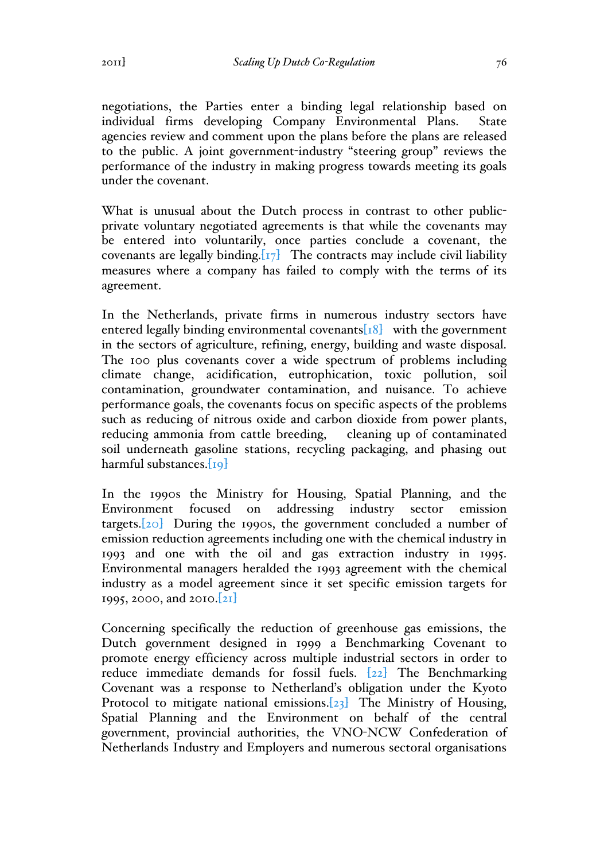negotiations, the Parties enter a binding legal relationship based on individual firms developing Company Environmental Plans. State agencies review and comment upon the plans before the plans are released to the public. A joint government-industry "steering group" reviews the performance of the industry in making progress towards meeting its goals under the covenant.

What is unusual about the Dutch process in contrast to other publicprivate voluntary negotiated agreements is that while the covenants may be entered into voluntarily, once parties conclude a covenant, the covenants are legally binding. $[T_7]$  The contracts may include civil liability measures where a company has failed to comply with the terms of its agreement.

In the Netherlands, private firms in numerous industry sectors have entered legally binding environmental covenants $[18]$  with the government in the sectors of agriculture, refining, energy, building and waste disposal. The 100 plus covenants cover a wide spectrum of problems including climate change, acidification, eutrophication, toxic pollution, soil contamination, groundwater contamination, and nuisance. To achieve performance goals, the covenants focus on specific aspects of the problems such as reducing of nitrous oxide and carbon dioxide from power plants, reducing ammonia from cattle breeding, cleaning up of contaminated soil underneath gasoline stations, recycling packaging, and phasing out harmful substances.[19]

In the 1990s the Ministry for Housing, Spatial Planning, and the Environment focused on addressing industry sector emission targets. $[20]$  During the 1990s, the government concluded a number of emission reduction agreements including one with the chemical industry in 1993 and one with the oil and gas extraction industry in 1995. Environmental managers heralded the 1993 agreement with the chemical industry as a model agreement since it set specific emission targets for 1995, 2000, and 2010.[21]

Concerning specifically the reduction of greenhouse gas emissions, the Dutch government designed in 1999 a Benchmarking Covenant to promote energy efficiency across multiple industrial sectors in order to reduce immediate demands for fossil fuels. [22] The Benchmarking Covenant was a response to Netherland's obligation under the Kyoto Protocol to mitigate national emissions.[23] The Ministry of Housing, Spatial Planning and the Environment on behalf of the central government, provincial authorities, the VNO-NCW Confederation of Netherlands Industry and Employers and numerous sectoral organisations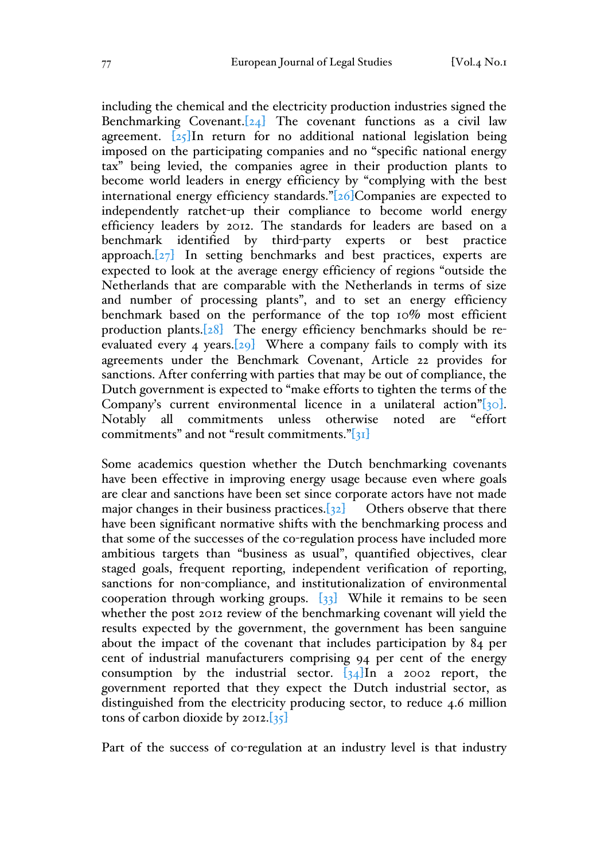including the chemical and the electricity production industries signed the Benchmarking Covenant. $[24]$  The covenant functions as a civil law agreement.  $\sqrt{25}$ In return for no additional national legislation being imposed on the participating companies and no "specific national energy tax" being levied, the companies agree in their production plants to become world leaders in energy efficiency by "complying with the best international energy efficiency standards."[26]Companies are expected to independently ratchet-up their compliance to become world energy efficiency leaders by 2012. The standards for leaders are based on a benchmark identified by third-party experts or best practice approach.[27] In setting benchmarks and best practices, experts are expected to look at the average energy efficiency of regions "outside the Netherlands that are comparable with the Netherlands in terms of size and number of processing plants", and to set an energy efficiency benchmark based on the performance of the top 10% most efficient production plants.[28] The energy efficiency benchmarks should be reevaluated every 4 years. $[29]$  Where a company fails to comply with its agreements under the Benchmark Covenant, Article 22 provides for sanctions. After conferring with parties that may be out of compliance, the Dutch government is expected to "make efforts to tighten the terms of the Company's current environmental licence in a unilateral action"[30]. Notably all commitments unless otherwise noted are "effort commitments" and not "result commitments."[31]

Some academics question whether the Dutch benchmarking covenants have been effective in improving energy usage because even where goals are clear and sanctions have been set since corporate actors have not made major changes in their business practices. $[32]$  Others observe that there have been significant normative shifts with the benchmarking process and that some of the successes of the co-regulation process have included more ambitious targets than "business as usual", quantified objectives, clear staged goals, frequent reporting, independent verification of reporting, sanctions for non-compliance, and institutionalization of environmental cooperation through working groups.  $\{33\}$  While it remains to be seen whether the post 2012 review of the benchmarking covenant will yield the results expected by the government, the government has been sanguine about the impact of the covenant that includes participation by 84 per cent of industrial manufacturers comprising 94 per cent of the energy consumption by the industrial sector.  $\frac{34}{\text{ln}}$  a 2002 report, the government reported that they expect the Dutch industrial sector, as distinguished from the electricity producing sector, to reduce 4.6 million tons of carbon dioxide by 2012. $\left[35\right]$ 

Part of the success of co-regulation at an industry level is that industry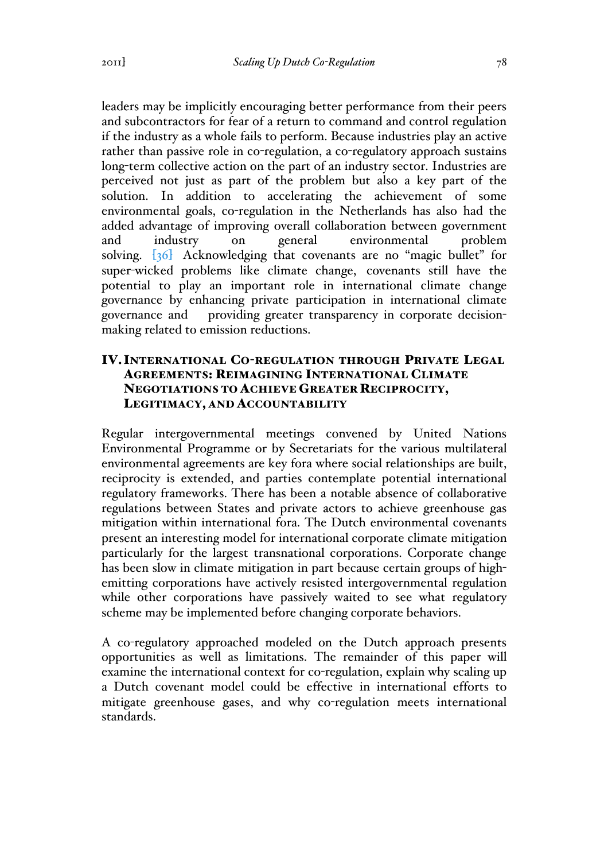leaders may be implicitly encouraging better performance from their peers and subcontractors for fear of a return to command and control regulation if the industry as a whole fails to perform. Because industries play an active rather than passive role in co-regulation, a co-regulatory approach sustains long-term collective action on the part of an industry sector. Industries are perceived not just as part of the problem but also a key part of the solution. In addition to accelerating the achievement of some environmental goals, co-regulation in the Netherlands has also had the added advantage of improving overall collaboration between government and industry on general environmental problem solving. [36] Acknowledging that covenants are no "magic bullet" for super-wicked problems like climate change, covenants still have the potential to play an important role in international climate change governance by enhancing private participation in international climate governance and providing greater transparency in corporate decisionmaking related to emission reductions.

## IV.INTERNATIONAL CO-REGULATION THROUGH PRIVATE LEGAL AGREEMENTS: REIMAGINING INTERNATIONAL CLIMATE NEGOTIATIONS TO ACHIEVE GREATER RECIPROCITY, LEGITIMACY, AND ACCOUNTABILITY

Regular intergovernmental meetings convened by United Nations Environmental Programme or by Secretariats for the various multilateral environmental agreements are key fora where social relationships are built, reciprocity is extended, and parties contemplate potential international regulatory frameworks. There has been a notable absence of collaborative regulations between States and private actors to achieve greenhouse gas mitigation within international fora. The Dutch environmental covenants present an interesting model for international corporate climate mitigation particularly for the largest transnational corporations. Corporate change has been slow in climate mitigation in part because certain groups of highemitting corporations have actively resisted intergovernmental regulation while other corporations have passively waited to see what regulatory scheme may be implemented before changing corporate behaviors.

A co-regulatory approached modeled on the Dutch approach presents opportunities as well as limitations. The remainder of this paper will examine the international context for co-regulation, explain why scaling up a Dutch covenant model could be effective in international efforts to mitigate greenhouse gases, and why co-regulation meets international standards.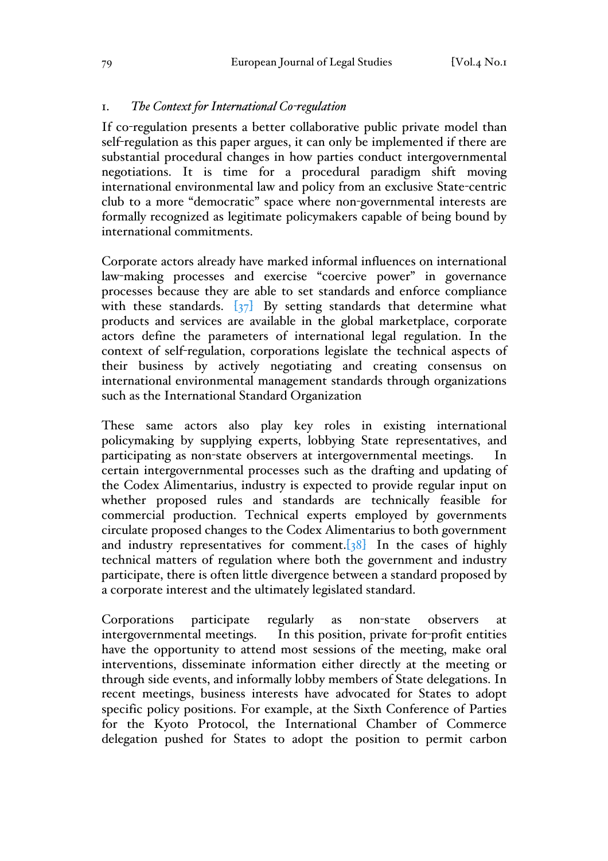### 1. *The Context for International Co-regulation*

If co-regulation presents a better collaborative public private model than self-regulation as this paper argues, it can only be implemented if there are substantial procedural changes in how parties conduct intergovernmental negotiations. It is time for a procedural paradigm shift moving international environmental law and policy from an exclusive State-centric club to a more "democratic" space where non-governmental interests are formally recognized as legitimate policymakers capable of being bound by international commitments.

Corporate actors already have marked informal influences on international law-making processes and exercise "coercive power" in governance processes because they are able to set standards and enforce compliance with these standards.  $\left[37\right]$  By setting standards that determine what products and services are available in the global marketplace, corporate actors define the parameters of international legal regulation. In the context of self-regulation, corporations legislate the technical aspects of their business by actively negotiating and creating consensus on international environmental management standards through organizations such as the International Standard Organization

These same actors also play key roles in existing international policymaking by supplying experts, lobbying State representatives, and participating as non-state observers at intergovernmental meetings. In certain intergovernmental processes such as the drafting and updating of the Codex Alimentarius, industry is expected to provide regular input on whether proposed rules and standards are technically feasible for commercial production. Technical experts employed by governments circulate proposed changes to the Codex Alimentarius to both government and industry representatives for comment. $[38]$  In the cases of highly technical matters of regulation where both the government and industry participate, there is often little divergence between a standard proposed by a corporate interest and the ultimately legislated standard.

Corporations participate regularly as non-state observers at intergovernmental meetings. In this position, private for-profit entities have the opportunity to attend most sessions of the meeting, make oral interventions, disseminate information either directly at the meeting or through side events, and informally lobby members of State delegations. In recent meetings, business interests have advocated for States to adopt specific policy positions. For example, at the Sixth Conference of Parties for the Kyoto Protocol, the International Chamber of Commerce delegation pushed for States to adopt the position to permit carbon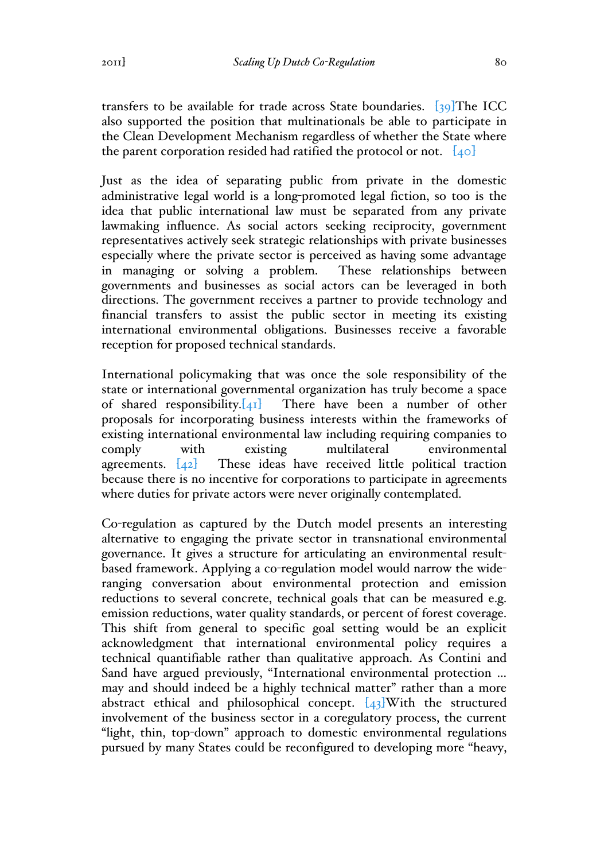transfers to be available for trade across State boundaries.  $\left[39\right]$ The ICC also supported the position that multinationals be able to participate in the Clean Development Mechanism regardless of whether the State where the parent corporation resided had ratified the protocol or not.  $[40]$ 

Just as the idea of separating public from private in the domestic administrative legal world is a long-promoted legal fiction, so too is the idea that public international law must be separated from any private lawmaking influence. As social actors seeking reciprocity, government representatives actively seek strategic relationships with private businesses especially where the private sector is perceived as having some advantage in managing or solving a problem. These relationships between governments and businesses as social actors can be leveraged in both directions. The government receives a partner to provide technology and financial transfers to assist the public sector in meeting its existing international environmental obligations. Businesses receive a favorable reception for proposed technical standards.

International policymaking that was once the sole responsibility of the state or international governmental organization has truly become a space of shared responsibility. $[41]$  There have been a number of other proposals for incorporating business interests within the frameworks of existing international environmental law including requiring companies to comply with existing multilateral environmental agreements.  $[42]$  These ideas have received little political traction because there is no incentive for corporations to participate in agreements where duties for private actors were never originally contemplated.

Co-regulation as captured by the Dutch model presents an interesting alternative to engaging the private sector in transnational environmental governance. It gives a structure for articulating an environmental resultbased framework. Applying a co-regulation model would narrow the wideranging conversation about environmental protection and emission reductions to several concrete, technical goals that can be measured e.g. emission reductions, water quality standards, or percent of forest coverage. This shift from general to specific goal setting would be an explicit acknowledgment that international environmental policy requires a technical quantifiable rather than qualitative approach. As Contini and Sand have argued previously, "International environmental protection … may and should indeed be a highly technical matter" rather than a more abstract ethical and philosophical concept.  $[43]$ With the structured involvement of the business sector in a coregulatory process, the current "light, thin, top-down" approach to domestic environmental regulations pursued by many States could be reconfigured to developing more "heavy,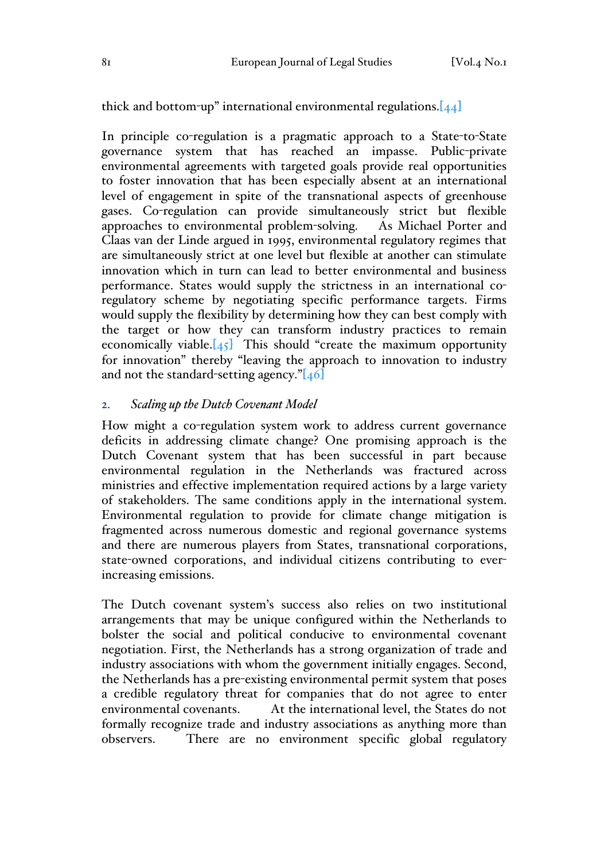thick and bottom-up" international environmental regulations. $[44]$ 

In principle co-regulation is a pragmatic approach to a State-to-State governance system that has reached an impasse. Public-private environmental agreements with targeted goals provide real opportunities to foster innovation that has been especially absent at an international level of engagement in spite of the transnational aspects of greenhouse gases. Co-regulation can provide simultaneously strict but flexible approaches to environmental problem-solving. As Michael Porter and Claas van der Linde argued in 1995, environmental regulatory regimes that are simultaneously strict at one level but flexible at another can stimulate innovation which in turn can lead to better environmental and business performance. States would supply the strictness in an international coregulatory scheme by negotiating specific performance targets. Firms would supply the flexibility by determining how they can best comply with the target or how they can transform industry practices to remain economically viable. $[45]$  This should "create the maximum opportunity for innovation" thereby "leaving the approach to innovation to industry and not the standard-setting agency." $[46]$ 

#### 2. *Scaling up the Dutch Covenant Model*

How might a co-regulation system work to address current governance deficits in addressing climate change? One promising approach is the Dutch Covenant system that has been successful in part because environmental regulation in the Netherlands was fractured across ministries and effective implementation required actions by a large variety of stakeholders. The same conditions apply in the international system. Environmental regulation to provide for climate change mitigation is fragmented across numerous domestic and regional governance systems and there are numerous players from States, transnational corporations, state-owned corporations, and individual citizens contributing to everincreasing emissions.

The Dutch covenant system's success also relies on two institutional arrangements that may be unique configured within the Netherlands to bolster the social and political conducive to environmental covenant negotiation. First, the Netherlands has a strong organization of trade and industry associations with whom the government initially engages. Second, the Netherlands has a pre-existing environmental permit system that poses a credible regulatory threat for companies that do not agree to enter environmental covenants. At the international level, the States do not formally recognize trade and industry associations as anything more than observers. There are no environment specific global regulatory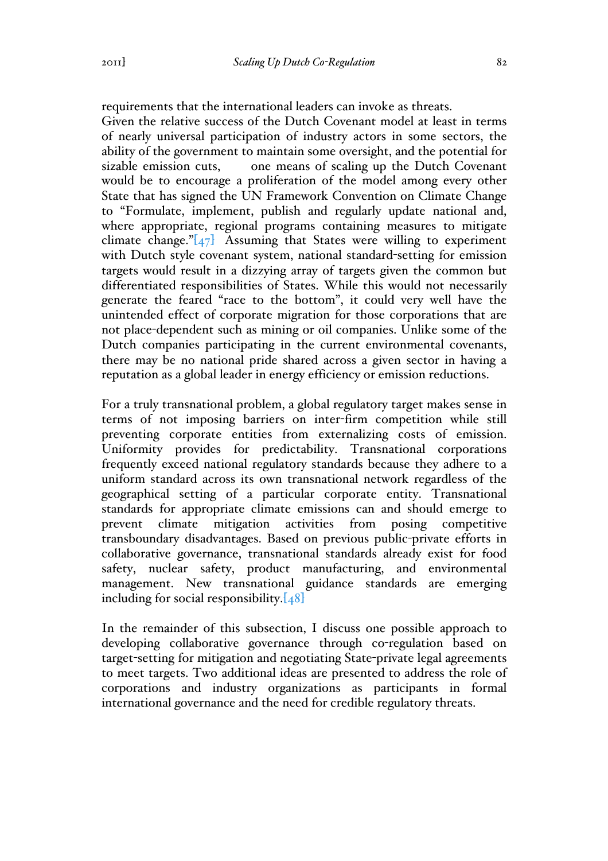requirements that the international leaders can invoke as threats.

Given the relative success of the Dutch Covenant model at least in terms of nearly universal participation of industry actors in some sectors, the ability of the government to maintain some oversight, and the potential for sizable emission cuts, one means of scaling up the Dutch Covenant would be to encourage a proliferation of the model among every other State that has signed the UN Framework Convention on Climate Change to "Formulate, implement, publish and regularly update national and, where appropriate, regional programs containing measures to mitigate climate change." $[47]$  Assuming that States were willing to experiment with Dutch style covenant system, national standard-setting for emission targets would result in a dizzying array of targets given the common but differentiated responsibilities of States. While this would not necessarily generate the feared "race to the bottom", it could very well have the unintended effect of corporate migration for those corporations that are not place-dependent such as mining or oil companies. Unlike some of the Dutch companies participating in the current environmental covenants, there may be no national pride shared across a given sector in having a reputation as a global leader in energy efficiency or emission reductions.

For a truly transnational problem, a global regulatory target makes sense in terms of not imposing barriers on inter-firm competition while still preventing corporate entities from externalizing costs of emission. Uniformity provides for predictability. Transnational corporations frequently exceed national regulatory standards because they adhere to a uniform standard across its own transnational network regardless of the geographical setting of a particular corporate entity. Transnational standards for appropriate climate emissions can and should emerge to prevent climate mitigation activities from posing competitive transboundary disadvantages. Based on previous public-private efforts in collaborative governance, transnational standards already exist for food safety, nuclear safety, product manufacturing, and environmental management. New transnational guidance standards are emerging including for social responsibility. $[48]$ 

In the remainder of this subsection, I discuss one possible approach to developing collaborative governance through co-regulation based on target-setting for mitigation and negotiating State-private legal agreements to meet targets. Two additional ideas are presented to address the role of corporations and industry organizations as participants in formal international governance and the need for credible regulatory threats.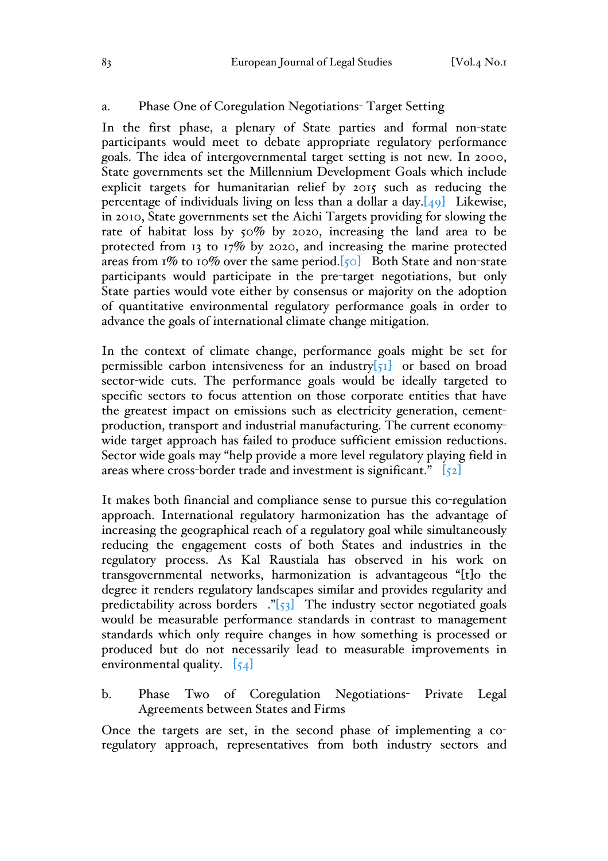### a. Phase One of Coregulation Negotiations- Target Setting

In the first phase, a plenary of State parties and formal non-state participants would meet to debate appropriate regulatory performance goals. The idea of intergovernmental target setting is not new. In 2000, State governments set the Millennium Development Goals which include explicit targets for humanitarian relief by 2015 such as reducing the percentage of individuals living on less than a dollar a day. $[49]$  Likewise, in 2010, State governments set the Aichi Targets providing for slowing the rate of habitat loss by 50% by 2020, increasing the land area to be protected from 13 to 17% by 2020, and increasing the marine protected areas from  $\frac{1}{6}$  to 10% over the same period.  $\lceil \frac{1}{60} \rceil$  Both State and non-state participants would participate in the pre-target negotiations, but only State parties would vote either by consensus or majority on the adoption of quantitative environmental regulatory performance goals in order to advance the goals of international climate change mitigation.

In the context of climate change, performance goals might be set for permissible carbon intensiveness for an industry $\overline{51}$  or based on broad sector-wide cuts. The performance goals would be ideally targeted to specific sectors to focus attention on those corporate entities that have the greatest impact on emissions such as electricity generation, cementproduction, transport and industrial manufacturing. The current economywide target approach has failed to produce sufficient emission reductions. Sector wide goals may "help provide a more level regulatory playing field in areas where cross-border trade and investment is significant."  $\left[52\right]$ 

It makes both financial and compliance sense to pursue this co-regulation approach. International regulatory harmonization has the advantage of increasing the geographical reach of a regulatory goal while simultaneously reducing the engagement costs of both States and industries in the regulatory process. As Kal Raustiala has observed in his work on transgovernmental networks, harmonization is advantageous "[t]o the degree it renders regulatory landscapes similar and provides regularity and predictability across borders  $\cdot$  [53] The industry sector negotiated goals would be measurable performance standards in contrast to management standards which only require changes in how something is processed or produced but do not necessarily lead to measurable improvements in environmental quality.  $\left[54\right]$ 

b. Phase Two of Coregulation Negotiations- Private Legal Agreements between States and Firms

Once the targets are set, in the second phase of implementing a coregulatory approach, representatives from both industry sectors and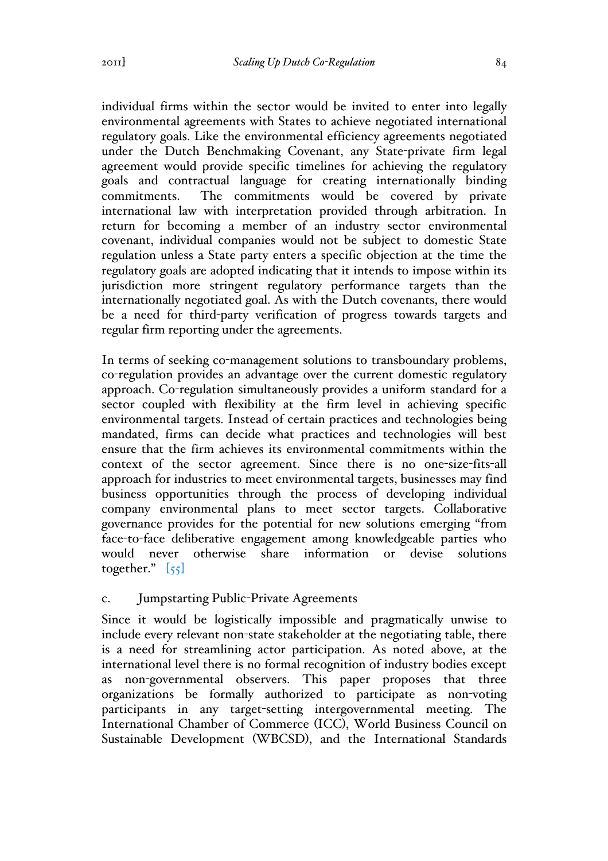individual firms within the sector would be invited to enter into legally environmental agreements with States to achieve negotiated international regulatory goals. Like the environmental efficiency agreements negotiated under the Dutch Benchmaking Covenant, any State-private firm legal agreement would provide specific timelines for achieving the regulatory goals and contractual language for creating internationally binding commitments. The commitments would be covered by private international law with interpretation provided through arbitration. In return for becoming a member of an industry sector environmental covenant, individual companies would not be subject to domestic State regulation unless a State party enters a specific objection at the time the regulatory goals are adopted indicating that it intends to impose within its jurisdiction more stringent regulatory performance targets than the internationally negotiated goal. As with the Dutch covenants, there would be a need for third-party verification of progress towards targets and regular firm reporting under the agreements.

In terms of seeking co-management solutions to transboundary problems, co-regulation provides an advantage over the current domestic regulatory approach. Co-regulation simultaneously provides a uniform standard for a sector coupled with flexibility at the firm level in achieving specific environmental targets. Instead of certain practices and technologies being mandated, firms can decide what practices and technologies will best ensure that the firm achieves its environmental commitments within the context of the sector agreement. Since there is no one-size-fits-all approach for industries to meet environmental targets, businesses may find business opportunities through the process of developing individual company environmental plans to meet sector targets. Collaborative governance provides for the potential for new solutions emerging "from face-to-face deliberative engagement among knowledgeable parties who would never otherwise share information or devise solutions together."  $\left[55\right]$ 

## c. Jumpstarting Public-Private Agreements

Since it would be logistically impossible and pragmatically unwise to include every relevant non-state stakeholder at the negotiating table, there is a need for streamlining actor participation. As noted above, at the international level there is no formal recognition of industry bodies except as non-governmental observers. This paper proposes that three organizations be formally authorized to participate as non-voting participants in any target-setting intergovernmental meeting. The International Chamber of Commerce (ICC), World Business Council on Sustainable Development (WBCSD), and the International Standards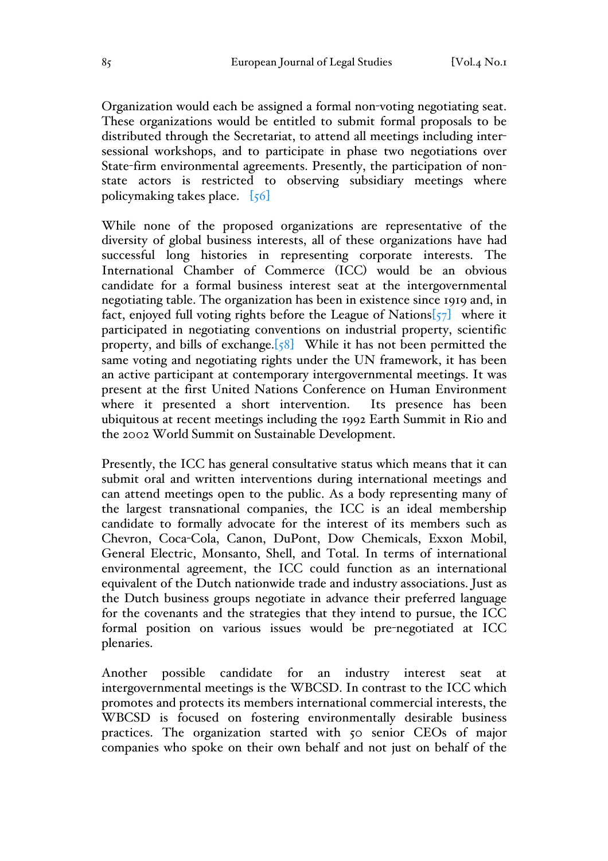Organization would each be assigned a formal non-voting negotiating seat. These organizations would be entitled to submit formal proposals to be distributed through the Secretariat, to attend all meetings including intersessional workshops, and to participate in phase two negotiations over State-firm environmental agreements. Presently, the participation of nonstate actors is restricted to observing subsidiary meetings where policymaking takes place.  $[56]$ 

While none of the proposed organizations are representative of the diversity of global business interests, all of these organizations have had successful long histories in representing corporate interests. The International Chamber of Commerce (ICC) would be an obvious candidate for a formal business interest seat at the intergovernmental negotiating table. The organization has been in existence since 1919 and, in fact, enjoyed full voting rights before the League of Nations $\left[57\right]$  where it participated in negotiating conventions on industrial property, scientific property, and bills of exchange.<sup>[58]</sup> While it has not been permitted the same voting and negotiating rights under the UN framework, it has been an active participant at contemporary intergovernmental meetings. It was present at the first United Nations Conference on Human Environment where it presented a short intervention. Its presence has been ubiquitous at recent meetings including the 1992 Earth Summit in Rio and the 2002 World Summit on Sustainable Development.

Presently, the ICC has general consultative status which means that it can submit oral and written interventions during international meetings and can attend meetings open to the public. As a body representing many of the largest transnational companies, the ICC is an ideal membership candidate to formally advocate for the interest of its members such as Chevron, Coca-Cola, Canon, DuPont, Dow Chemicals, Exxon Mobil, General Electric, Monsanto, Shell, and Total. In terms of international environmental agreement, the ICC could function as an international equivalent of the Dutch nationwide trade and industry associations. Just as the Dutch business groups negotiate in advance their preferred language for the covenants and the strategies that they intend to pursue, the ICC formal position on various issues would be pre-negotiated at ICC plenaries.

Another possible candidate for an industry interest seat at intergovernmental meetings is the WBCSD. In contrast to the ICC which promotes and protects its members international commercial interests, the WBCSD is focused on fostering environmentally desirable business practices. The organization started with 50 senior CEOs of major companies who spoke on their own behalf and not just on behalf of the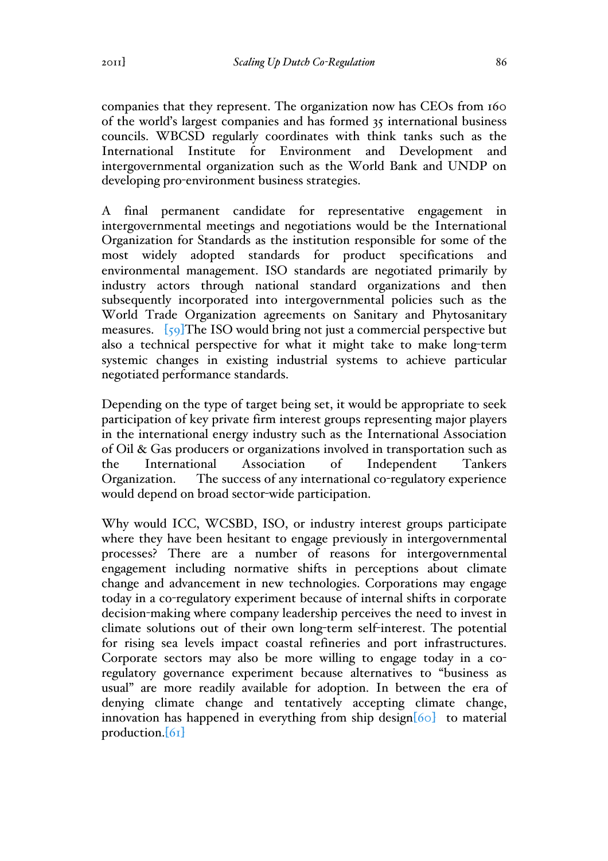companies that they represent. The organization now has CEOs from 160 of the world's largest companies and has formed 35 international business councils. WBCSD regularly coordinates with think tanks such as the International Institute for Environment and Development and intergovernmental organization such as the World Bank and UNDP on developing pro-environment business strategies.

A final permanent candidate for representative engagement in intergovernmental meetings and negotiations would be the International Organization for Standards as the institution responsible for some of the most widely adopted standards for product specifications and environmental management. ISO standards are negotiated primarily by industry actors through national standard organizations and then subsequently incorporated into intergovernmental policies such as the World Trade Organization agreements on Sanitary and Phytosanitary measures. [59]The ISO would bring not just a commercial perspective but also a technical perspective for what it might take to make long-term systemic changes in existing industrial systems to achieve particular negotiated performance standards.

Depending on the type of target being set, it would be appropriate to seek participation of key private firm interest groups representing major players in the international energy industry such as the International Association of Oil & Gas producers or organizations involved in transportation such as the International Association of Independent Tankers Organization. The success of any international co-regulatory experience would depend on broad sector-wide participation.

Why would ICC, WCSBD, ISO, or industry interest groups participate where they have been hesitant to engage previously in intergovernmental processes? There are a number of reasons for intergovernmental engagement including normative shifts in perceptions about climate change and advancement in new technologies. Corporations may engage today in a co-regulatory experiment because of internal shifts in corporate decision-making where company leadership perceives the need to invest in climate solutions out of their own long-term self-interest. The potential for rising sea levels impact coastal refineries and port infrastructures. Corporate sectors may also be more willing to engage today in a coregulatory governance experiment because alternatives to "business as usual" are more readily available for adoption. In between the era of denying climate change and tentatively accepting climate change, innovation has happened in everything from ship design $[60]$  to material production.[61]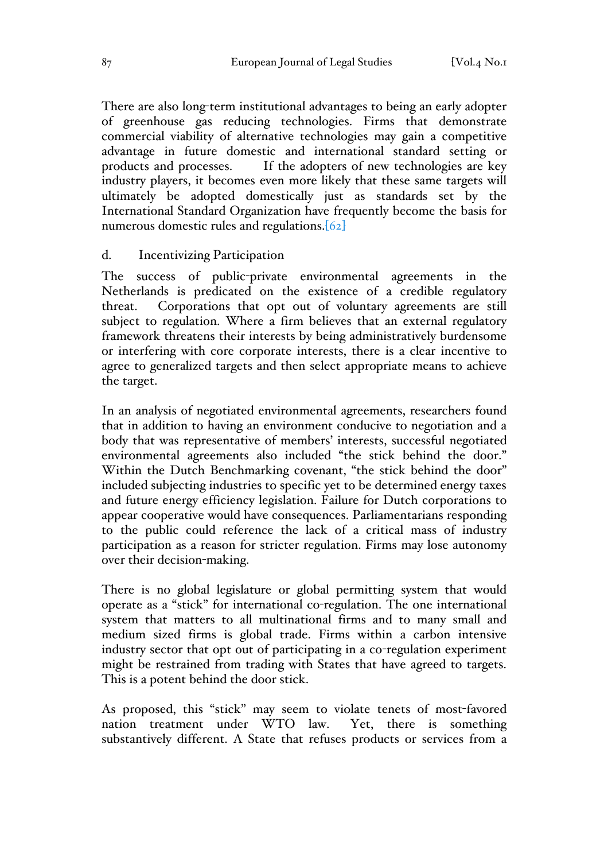There are also long-term institutional advantages to being an early adopter of greenhouse gas reducing technologies. Firms that demonstrate commercial viability of alternative technologies may gain a competitive advantage in future domestic and international standard setting or products and processes. If the adopters of new technologies are key industry players, it becomes even more likely that these same targets will ultimately be adopted domestically just as standards set by the International Standard Organization have frequently become the basis for numerous domestic rules and regulations.<sup>[62]</sup>

#### d. Incentivizing Participation

The success of public-private environmental agreements in the Netherlands is predicated on the existence of a credible regulatory threat. Corporations that opt out of voluntary agreements are still subject to regulation. Where a firm believes that an external regulatory framework threatens their interests by being administratively burdensome or interfering with core corporate interests, there is a clear incentive to agree to generalized targets and then select appropriate means to achieve the target.

In an analysis of negotiated environmental agreements, researchers found that in addition to having an environment conducive to negotiation and a body that was representative of members' interests, successful negotiated environmental agreements also included "the stick behind the door." Within the Dutch Benchmarking covenant, "the stick behind the door" included subjecting industries to specific yet to be determined energy taxes and future energy efficiency legislation. Failure for Dutch corporations to appear cooperative would have consequences. Parliamentarians responding to the public could reference the lack of a critical mass of industry participation as a reason for stricter regulation. Firms may lose autonomy over their decision-making.

There is no global legislature or global permitting system that would operate as a "stick" for international co-regulation. The one international system that matters to all multinational firms and to many small and medium sized firms is global trade. Firms within a carbon intensive industry sector that opt out of participating in a co-regulation experiment might be restrained from trading with States that have agreed to targets. This is a potent behind the door stick.

As proposed, this "stick" may seem to violate tenets of most-favored nation treatment under WTO law. Yet, there is something substantively different. A State that refuses products or services from a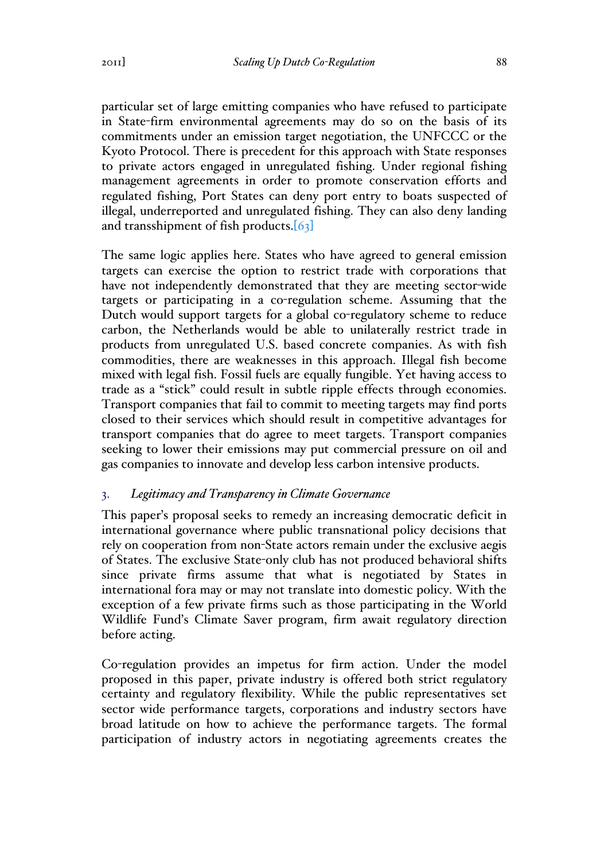particular set of large emitting companies who have refused to participate in State-firm environmental agreements may do so on the basis of its commitments under an emission target negotiation, the UNFCCC or the Kyoto Protocol. There is precedent for this approach with State responses to private actors engaged in unregulated fishing. Under regional fishing management agreements in order to promote conservation efforts and regulated fishing, Port States can deny port entry to boats suspected of illegal, underreported and unregulated fishing. They can also deny landing and transshipment of fish products.<sup>[63]</sup>

The same logic applies here. States who have agreed to general emission targets can exercise the option to restrict trade with corporations that have not independently demonstrated that they are meeting sector-wide targets or participating in a co-regulation scheme. Assuming that the Dutch would support targets for a global co-regulatory scheme to reduce carbon, the Netherlands would be able to unilaterally restrict trade in products from unregulated U.S. based concrete companies. As with fish commodities, there are weaknesses in this approach. Illegal fish become mixed with legal fish. Fossil fuels are equally fungible. Yet having access to trade as a "stick" could result in subtle ripple effects through economies. Transport companies that fail to commit to meeting targets may find ports closed to their services which should result in competitive advantages for transport companies that do agree to meet targets. Transport companies seeking to lower their emissions may put commercial pressure on oil and gas companies to innovate and develop less carbon intensive products.

## 3. *Legitimacy and Transparency in Climate Governance*

This paper's proposal seeks to remedy an increasing democratic deficit in international governance where public transnational policy decisions that rely on cooperation from non-State actors remain under the exclusive aegis of States. The exclusive State-only club has not produced behavioral shifts since private firms assume that what is negotiated by States in international fora may or may not translate into domestic policy. With the exception of a few private firms such as those participating in the World Wildlife Fund's Climate Saver program, firm await regulatory direction before acting.

Co-regulation provides an impetus for firm action. Under the model proposed in this paper, private industry is offered both strict regulatory certainty and regulatory flexibility. While the public representatives set sector wide performance targets, corporations and industry sectors have broad latitude on how to achieve the performance targets. The formal participation of industry actors in negotiating agreements creates the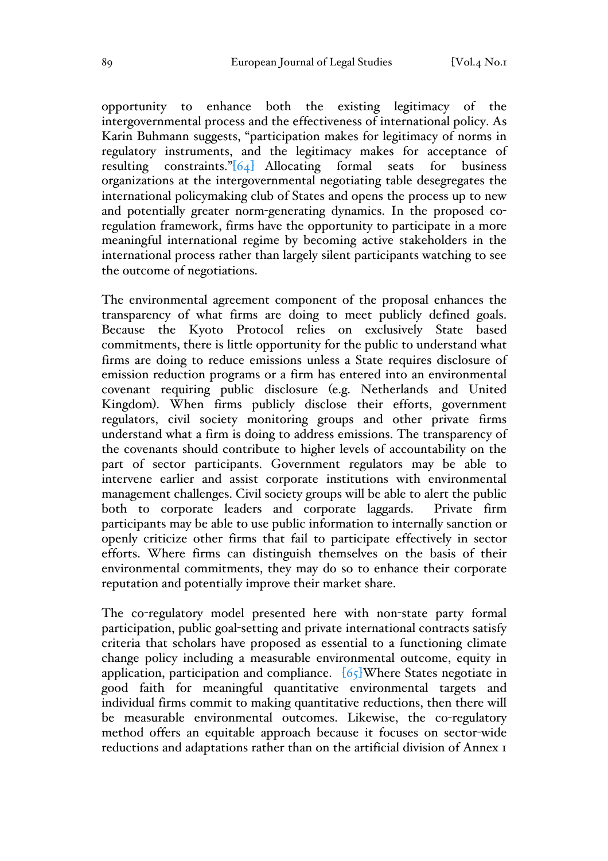opportunity to enhance both the existing legitimacy of the intergovernmental process and the effectiveness of international policy. As Karin Buhmann suggests, "participation makes for legitimacy of norms in regulatory instruments, and the legitimacy makes for acceptance of resulting constraints."[64] Allocating formal seats for business organizations at the intergovernmental negotiating table desegregates the international policymaking club of States and opens the process up to new and potentially greater norm-generating dynamics. In the proposed coregulation framework, firms have the opportunity to participate in a more meaningful international regime by becoming active stakeholders in the international process rather than largely silent participants watching to see the outcome of negotiations.

The environmental agreement component of the proposal enhances the transparency of what firms are doing to meet publicly defined goals. Because the Kyoto Protocol relies on exclusively State based commitments, there is little opportunity for the public to understand what firms are doing to reduce emissions unless a State requires disclosure of emission reduction programs or a firm has entered into an environmental covenant requiring public disclosure (e.g. Netherlands and United Kingdom). When firms publicly disclose their efforts, government regulators, civil society monitoring groups and other private firms understand what a firm is doing to address emissions. The transparency of the covenants should contribute to higher levels of accountability on the part of sector participants. Government regulators may be able to intervene earlier and assist corporate institutions with environmental management challenges. Civil society groups will be able to alert the public both to corporate leaders and corporate laggards. Private firm participants may be able to use public information to internally sanction or openly criticize other firms that fail to participate effectively in sector efforts. Where firms can distinguish themselves on the basis of their environmental commitments, they may do so to enhance their corporate reputation and potentially improve their market share.

The co-regulatory model presented here with non-state party formal participation, public goal-setting and private international contracts satisfy criteria that scholars have proposed as essential to a functioning climate change policy including a measurable environmental outcome, equity in application, participation and compliance.  $[65]$ Where States negotiate in good faith for meaningful quantitative environmental targets and individual firms commit to making quantitative reductions, then there will be measurable environmental outcomes. Likewise, the co-regulatory method offers an equitable approach because it focuses on sector-wide reductions and adaptations rather than on the artificial division of Annex 1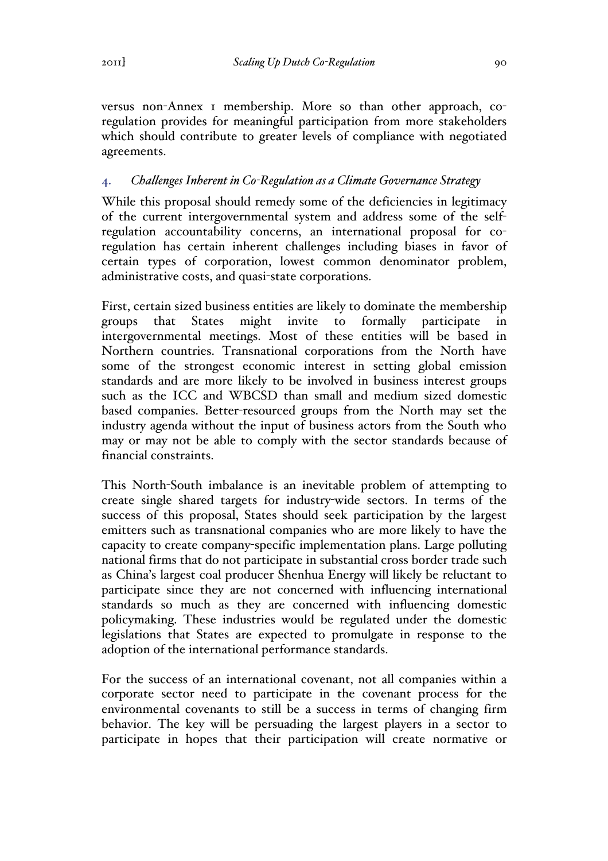versus non-Annex 1 membership. More so than other approach, coregulation provides for meaningful participation from more stakeholders which should contribute to greater levels of compliance with negotiated agreements.

# 4. *Challenges Inherent in Co-Regulation as a Climate Governance Strategy*

While this proposal should remedy some of the deficiencies in legitimacy of the current intergovernmental system and address some of the selfregulation accountability concerns, an international proposal for coregulation has certain inherent challenges including biases in favor of certain types of corporation, lowest common denominator problem, administrative costs, and quasi-state corporations.

First, certain sized business entities are likely to dominate the membership groups that States might invite to formally participate intergovernmental meetings. Most of these entities will be based in Northern countries. Transnational corporations from the North have some of the strongest economic interest in setting global emission standards and are more likely to be involved in business interest groups such as the ICC and WBCSD than small and medium sized domestic based companies. Better-resourced groups from the North may set the industry agenda without the input of business actors from the South who may or may not be able to comply with the sector standards because of financial constraints.

This North-South imbalance is an inevitable problem of attempting to create single shared targets for industry-wide sectors. In terms of the success of this proposal, States should seek participation by the largest emitters such as transnational companies who are more likely to have the capacity to create company-specific implementation plans. Large polluting national firms that do not participate in substantial cross border trade such as China's largest coal producer Shenhua Energy will likely be reluctant to participate since they are not concerned with influencing international standards so much as they are concerned with influencing domestic policymaking. These industries would be regulated under the domestic legislations that States are expected to promulgate in response to the adoption of the international performance standards.

For the success of an international covenant, not all companies within a corporate sector need to participate in the covenant process for the environmental covenants to still be a success in terms of changing firm behavior. The key will be persuading the largest players in a sector to participate in hopes that their participation will create normative or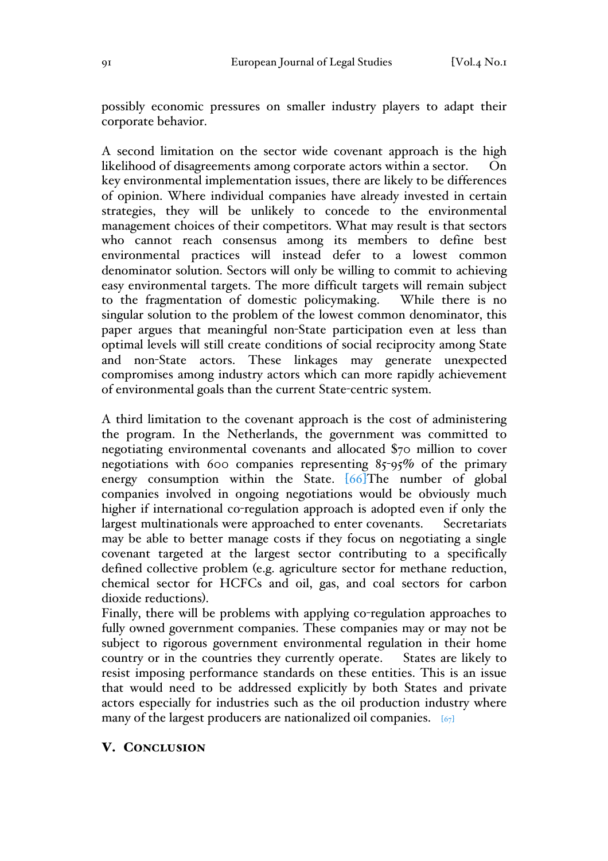possibly economic pressures on smaller industry players to adapt their corporate behavior.

A second limitation on the sector wide covenant approach is the high likelihood of disagreements among corporate actors within a sector. On key environmental implementation issues, there are likely to be differences of opinion. Where individual companies have already invested in certain strategies, they will be unlikely to concede to the environmental management choices of their competitors. What may result is that sectors who cannot reach consensus among its members to define best environmental practices will instead defer to a lowest common denominator solution. Sectors will only be willing to commit to achieving easy environmental targets. The more difficult targets will remain subject to the fragmentation of domestic policymaking. While there is no singular solution to the problem of the lowest common denominator, this paper argues that meaningful non-State participation even at less than optimal levels will still create conditions of social reciprocity among State and non-State actors. These linkages may generate unexpected compromises among industry actors which can more rapidly achievement of environmental goals than the current State-centric system.

A third limitation to the covenant approach is the cost of administering the program. In the Netherlands, the government was committed to negotiating environmental covenants and allocated \$70 million to cover negotiations with 600 companies representing 85-95% of the primary energy consumption within the State. [66] The number of global companies involved in ongoing negotiations would be obviously much higher if international co-regulation approach is adopted even if only the largest multinationals were approached to enter covenants. Secretariats may be able to better manage costs if they focus on negotiating a single covenant targeted at the largest sector contributing to a specifically defined collective problem (e.g. agriculture sector for methane reduction, chemical sector for HCFCs and oil, gas, and coal sectors for carbon dioxide reductions).

Finally, there will be problems with applying co-regulation approaches to fully owned government companies. These companies may or may not be subject to rigorous government environmental regulation in their home country or in the countries they currently operate. States are likely to resist imposing performance standards on these entities. This is an issue that would need to be addressed explicitly by both States and private actors especially for industries such as the oil production industry where many of the largest producers are nationalized oil companies.  $[67]$ 

#### V. CONCLUSION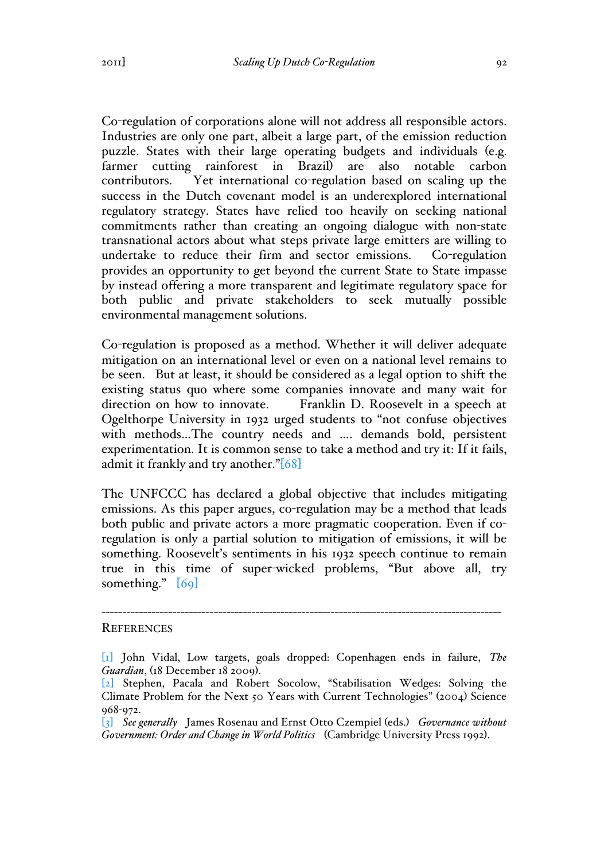Co-regulation of corporations alone will not address all responsible actors. Industries are only one part, albeit a large part, of the emission reduction puzzle. States with their large operating budgets and individuals (e.g. farmer cutting rainforest in Brazil) are also notable carbon contributors. Yet international co-regulation based on scaling up the success in the Dutch covenant model is an underexplored international regulatory strategy. States have relied too heavily on seeking national commitments rather than creating an ongoing dialogue with non-state transnational actors about what steps private large emitters are willing to undertake to reduce their firm and sector emissions. Co-regulation provides an opportunity to get beyond the current State to State impasse by instead offering a more transparent and legitimate regulatory space for both public and private stakeholders to seek mutually possible environmental management solutions.

Co-regulation is proposed as a method. Whether it will deliver adequate mitigation on an international level or even on a national level remains to be seen. But at least, it should be considered as a legal option to shift the existing status quo where some companies innovate and many wait for direction on how to innovate. Franklin D. Roosevelt in a speech at Ogelthorpe University in 1932 urged students to "not confuse objectives with methods…The country needs and …. demands bold, persistent experimentation. It is common sense to take a method and try it: If it fails, admit it frankly and try another."[68]

The UNFCCC has declared a global objective that includes mitigating emissions. As this paper argues, co-regulation may be a method that leads both public and private actors a more pragmatic cooperation. Even if coregulation is only a partial solution to mitigation of emissions, it will be something. Roosevelt's sentiments in his 1932 speech continue to remain true in this time of super-wicked problems, "But above all, try something."  $[69]$ 

#### **REFERENCES**

------------------------------------------------------------------------------------------------

<sup>[</sup>1] John Vidal, Low targets, goals dropped: Copenhagen ends in failure, *The Guardian*, (18 December 18 2009).

<sup>[</sup>2] Stephen, Pacala and Robert Socolow, "Stabilisation Wedges: Solving the Climate Problem for the Next 50 Years with Current Technologies" (2004) Science 968-972.

<sup>[</sup>3] *See generally* James Rosenau and Ernst Otto Czempiel (eds.) *Governance without Government: Order and Change in World Politics* (Cambridge University Press 1992).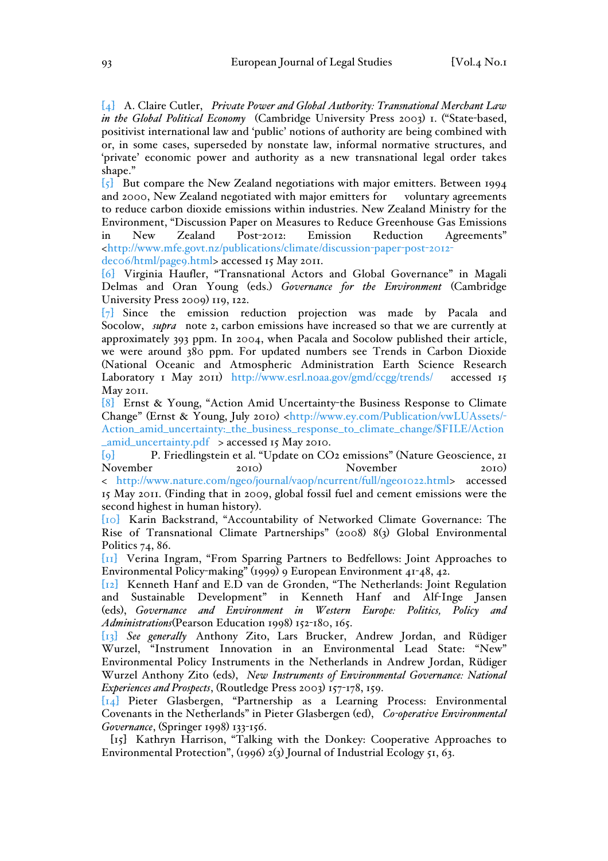[4] A. Claire Cutler, *Private Power and Global Authority: Transnational Merchant Law in the Global Political Economy* (Cambridge University Press 2003) 1. ("State-based, positivist international law and 'public' notions of authority are being combined with or, in some cases, superseded by nonstate law, informal normative structures, and 'private' economic power and authority as a new transnational legal order takes shape."

[5] But compare the New Zealand negotiations with major emitters. Between 1994 and 2000, New Zealand negotiated with major emitters for voluntary agreements to reduce carbon dioxide emissions within industries. New Zealand Ministry for the Environment, "Discussion Paper on Measures to Reduce Greenhouse Gas Emissions in New Zealand Post-2012: Emission Reduction Agreements" <http://www.mfe.govt.nz/publications/climate/discussion-paper-post-2012 dec06/html/page9.html> accessed 15 May 2011.

[6] Virginia Haufler, "Transnational Actors and Global Governance" in Magali Delmas and Oran Young (eds.) *Governance for the Environment* (Cambridge University Press 2009) 119, 122.

[7] Since the emission reduction projection was made by Pacala and Socolow, *supra* note 2, carbon emissions have increased so that we are currently at approximately 393 ppm. In 2004, when Pacala and Socolow published their article, we were around 380 ppm. For updated numbers see Trends in Carbon Dioxide (National Oceanic and Atmospheric Administration Earth Science Research Laboratory 1 May 2011) http://www.esrl.noaa.gov/gmd/ccgg/trends/ accessed 15 May 2011.

[8] Ernst & Young, "Action Amid Uncertainty-the Business Response to Climate Change" (Ernst & Young, July 2010) <http://www.ey.com/Publication/vwLUAssets/- Action\_amid\_uncertainty:\_the\_business\_response\_to\_climate\_change/\$FILE/Action  $\_amid\_uncertainty.pdf$  > accessed 15 May 2010.

[9] P. Friedlingstein et al. "Update on CO2 emissions" (Nature Geoscience, 21 November 2010) November 2010) < http://www.nature.com/ngeo/journal/vaop/ncurrent/full/ngeo1022.html> accessed 15 May 2011. (Finding that in 2009, global fossil fuel and cement emissions were the second highest in human history).

[10] Karin Backstrand, "Accountability of Networked Climate Governance: The Rise of Transnational Climate Partnerships" (2008) 8(3) Global Environmental Politics 74, 86.

[11] Verina Ingram, "From Sparring Partners to Bedfellows: Joint Approaches to Environmental Policy-making" (1999) 9 European Environment 41-48, 42.

[12] Kenneth Hanf and E.D van de Gronden, "The Netherlands: Joint Regulation and Sustainable Development" in Kenneth Hanf and Alf-Inge Jansen (eds), *Governance and Environment in Western Europe: Politics, Policy and Administrations*(Pearson Education 1998) 152-180, 165.

[13] *See generally* Anthony Zito, Lars Brucker, Andrew Jordan, and Rüdiger Wurzel, "Instrument Innovation in an Environmental Lead State: "New" Environmental Policy Instruments in the Netherlands in Andrew Jordan, Rüdiger Wurzel Anthony Zito (eds), *New Instruments of Environmental Governance: National Experiences and Prospects*, (Routledge Press 2003) 157-178, 159.

[14] Pieter Glasbergen, "Partnership as a Learning Process: Environmental Covenants in the Netherlands" in Pieter Glasbergen (ed), *Co-operative Environmental Governance*, (Springer 1998) 133-156.

[15] Kathryn Harrison, "Talking with the Donkey: Cooperative Approaches to Environmental Protection", (1996) 2(3) Journal of Industrial Ecology 51, 63.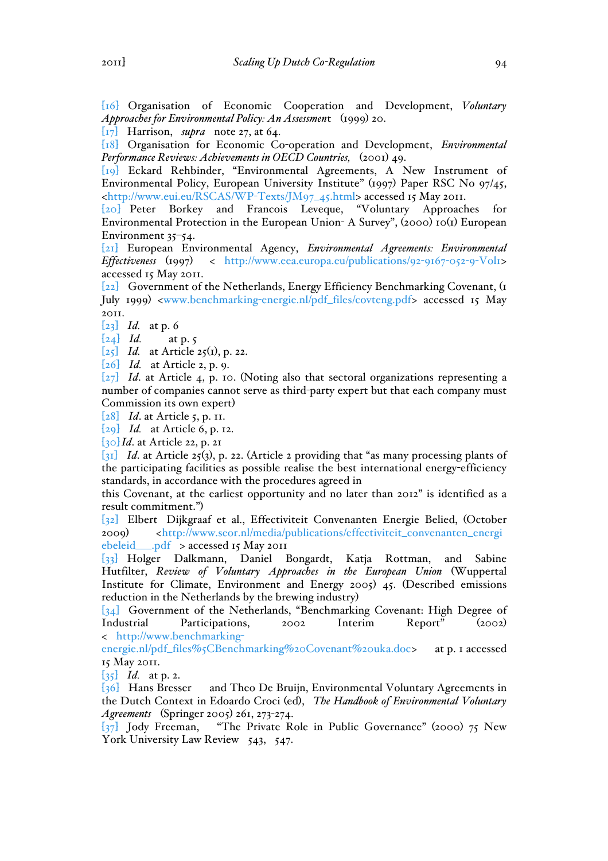[16] Organisation of Economic Cooperation and Development, *Voluntary Approaches for Environmental Policy: An Assessmen*t (1999) 20.

[17] Harrison, *supra* note 27, at 64.

[18] Organisation for Economic Co-operation and Development, *Environmental Performance Reviews: Achievements in OECD Countries,* (2001) 49.

[19] Eckard Rehbinder, "Environmental Agreements, A New Instrument of Environmental Policy, European University Institute" (1997) Paper RSC No 97/45, <http://www.eui.eu/RSCAS/WP-Texts/JM97\_45.html> accessed 15 May 2011.

[20] Peter Borkey and Francois Leveque, "Voluntary Approaches for Environmental Protection in the European Union- A Survey", (2000) 10(1) European Environment 35–54.

[21] European Environmental Agency, *Environmental Agreements: Environmental Effectiveness* (1997) < http://www.eea.europa.eu/publications/92-9167-052-9-Vol1> accessed 15 May 2011.

[22] Government of the Netherlands, Energy Efficiency Benchmarking Covenant, (1 July 1999) <www.benchmarking-energie.nl/pdf\_files/covteng.pdf> accessed 15 May 2011.

[23] *Id.* at p. 6

 $\begin{bmatrix} 24 \end{bmatrix}$  *Id.* at p. 5

[25] *Id.* at Article 25(1), p. 22.

[26] *Id.* at Article 2, p. 9.

[27] *Id*. at Article 4, p. 10. (Noting also that sectoral organizations representing a number of companies cannot serve as third-party expert but that each company must Commission its own expert)

[28] *Id*. at Article 5, p. 11.

[29] *Id.* at Article 6, p. 12.

[30] *Id*. at Article 22, p. 21

 $\overline{[31]}$  *Id.* at Article 25(3), p. 22. (Article 2 providing that "as many processing plants of the participating facilities as possible realise the best international energy-efficiency standards, in accordance with the procedures agreed in

this Covenant, at the earliest opportunity and no later than 2012" is identified as a result commitment.")

[32] Elbert Dijkgraaf et al., Effectiviteit Convenanten Energie Belied, (October 2009) <http://www.seor.nl/media/publications/effectiviteit\_convenanten\_energi ebeleid\_\_\_.pdf > accessed 15 May 2011

[33] Holger Dalkmann, Daniel Bongardt, Katja Rottman, and Sabine Hutfilter, *Review of Voluntary Approaches in the European Union* (Wuppertal Institute for Climate, Environment and Energy 2005) 45. (Described emissions reduction in the Netherlands by the brewing industry)

[34] Government of the Netherlands, "Benchmarking Covenant: High Degree of Industrial Participations, 2002 Interim Report" (2002) < http://www.benchmarking-

energie.nl/pdf\_files%5CBenchmarking%20Covenant%20uka.doc> at p. 1 accessed 15 May 2011.

[35] *Id.* at p. 2.

[36] Hans Bresser and Theo De Bruijn, Environmental Voluntary Agreements in the Dutch Context in Edoardo Croci (ed), *The Handbook of Environmental Voluntary Agreements* (Springer 2005) 261, 273-274.

[37] Jody Freeman, "The Private Role in Public Governance" (2000) 75 New York University Law Review 543, 547.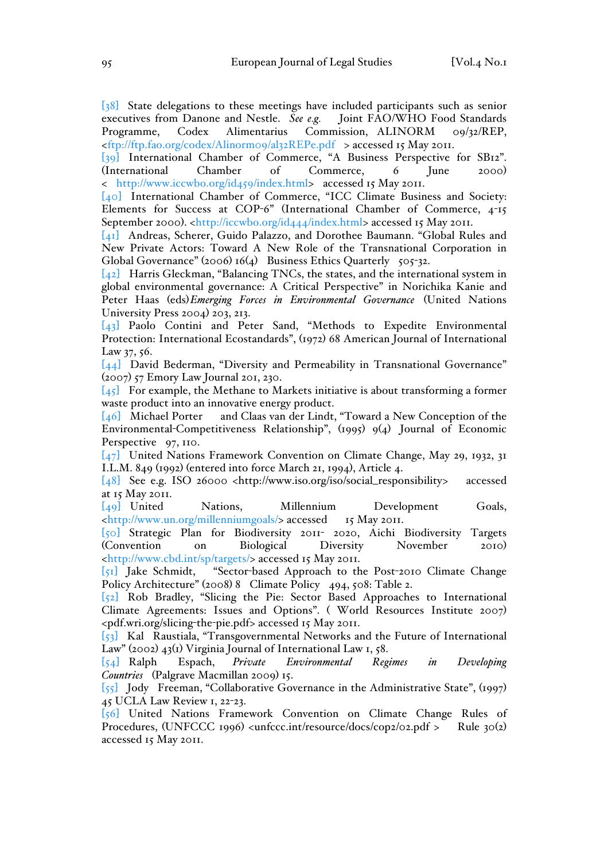[38] State delegations to these meetings have included participants such as senior executives from Danone and Nestle. *See e.g.* Joint FAO/WHO Food Standards Programme, Codex Alimentarius Commission, ALINORM 09/32/REP, <ftp://ftp.fao.org/codex/Alinorm09/al32REPe.pdf > accessed 15 May 2011.

[39] International Chamber of Commerce, "A Business Perspective for SB12". (International Chamber of Commerce, 6 June 2000) < http://www.iccwbo.org/id459/index.html> accessed 15 May 2011.

[40] International Chamber of Commerce, "ICC Climate Business and Society: Elements for Success at COP-6" (International Chamber of Commerce, 4-15 September 2000). <http://iccwbo.org/id444/index.html> accessed 15 May 2011.

[41] Andreas, Scherer, Guido Palazzo, and Dorothee Baumann. "Global Rules and New Private Actors: Toward A New Role of the Transnational Corporation in Global Governance" (2006) 16(4) Business Ethics Quarterly 505-32.

[42] Harris Gleckman, "Balancing TNCs, the states, and the international system in global environmental governance: A Critical Perspective" in Norichika Kanie and Peter Haas (eds)*Emerging Forces in Environmental Governance* (United Nations University Press 2004) 203, 213.

[43] Paolo Contini and Peter Sand, "Methods to Expedite Environmental Protection: International Ecostandards", (1972) 68 American Journal of International Law 37, 56.

[44] David Bederman, "Diversity and Permeability in Transnational Governance" (2007) 57 Emory Law Journal 201, 230.

 $\overline{[45]}$  For example, the Methane to Markets initiative is about transforming a former waste product into an innovative energy product.

[46] Michael Porter and Claas van der Lindt, "Toward a New Conception of the Environmental-Competitiveness Relationship", (1995) 9(4) Journal of Economic Perspective 97, 110.

[47] United Nations Framework Convention on Climate Change, May 29, 1932, 31 I.L.M. 849 (1992) (entered into force March 21, 1994), Article 4.

[48] See e.g. ISO 26000 <http://www.iso.org/iso/social\_responsibility> accessed at 15 May 2011.

[49] United Nations, Millennium Development Goals, <http://www.un.org/millenniumgoals/> accessed 15 May 2011.

[50] Strategic Plan for Biodiversity 2011- 2020, Aichi Biodiversity Targets (Convention on Biological Diversity November 2010) <http://www.cbd.int/sp/targets/> accessed 15 May 2011.

[51] Jake Schmidt, "Sector-based Approach to the Post-2010 Climate Change Policy Architecture" (2008) 8 Climate Policy 494, 508: Table 2.

[52] Rob Bradley, "Slicing the Pie: Sector Based Approaches to International Climate Agreements: Issues and Options". ( World Resources Institute 2007) <pdf.wri.org/slicing-the-pie.pdf> accessed 15 May 2011.

[53] Kal Raustiala, "Transgovernmental Networks and the Future of International Law" (2002) 43(1) Virginia Journal of International Law 1, 58.

[54] Ralph Espach, *Private Environmental Regimes in Developing Countries* (Palgrave Macmillan 2009) 15.

[55] Jody Freeman, "Collaborative Governance in the Administrative State", (1997) 45 UCLA Law Review 1, 22-23.

[56] United Nations Framework Convention on Climate Change Rules of Procedures, (UNFCCC 1996) <unfccc.int/resource/docs/cop2/02.pdf > Rule 30(2) accessed 15 May 2011.